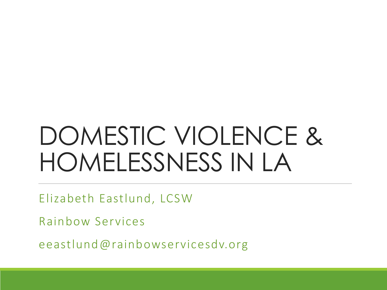# DOMESTIC VIOLENCE & HOMELESSNESS IN LA

Elizabeth Eastlund, LCSW

Rainbow Services

eeastlund@rainbowservicesdv.org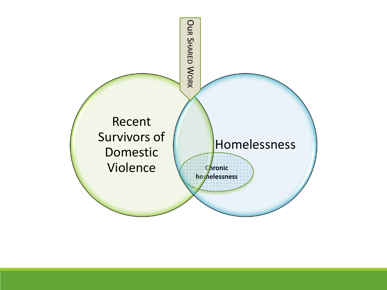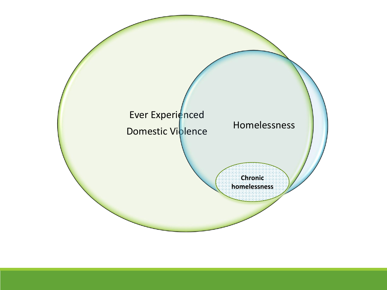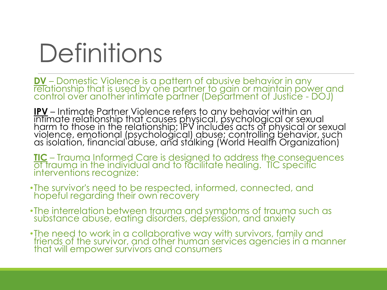# **Definitions**

**DV** – Domestic Violence is a pattern of abusive behavior in any relationship that is used by one partner to gain or maintain power and control over another intimate partner (Department of Justice - DOJ)

**IPV** – Intimate Partner Violence refers to any behavior within an intimate relationship that causes physical, psychological or sexual harm to those in the relationship; IPV includes acts of physical or sexual violence, emotional (psychological) abuse; controlling behavior, such as isolation, financial abuse, and stalking (World Health Organization)

**TIC** – Trauma Informed Care is designed to address the consequences of trauma in the individual and to facilitate healing. TIC specific interventions recognize:

- •The survivor's need to be respected, informed, connected, and hopeful regarding their own recovery
- •The interrelation between trauma and symptoms of trauma such as substance abuse, eating disorders, depression, and anxiety
- •The need to work in a collaborative way with survivors, family and friends of the survivor, and other human services agencies in a manner that will empower survivors and consumers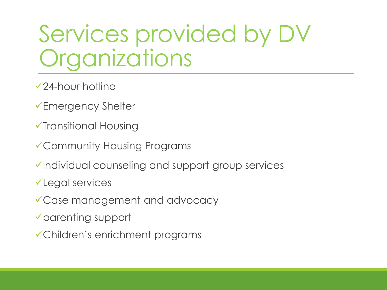# Services provided by DV **Organizations**

- 24-hour hotline
- **►Emergency Shelter**
- Transitional Housing
- Community Housing Programs
- $\checkmark$ Individual counseling and support group services
- Legal services
- Case management and advocacy
- parenting support
- Children's enrichment programs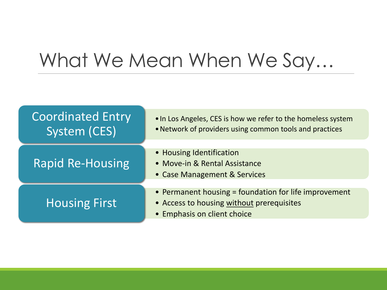## What We Mean When We Say…

| <b>Coordinated Entry</b><br>System (CES) | . In Los Angeles, CES is how we refer to the homeless system<br>• Network of providers using common tools and practices           |
|------------------------------------------|-----------------------------------------------------------------------------------------------------------------------------------|
| <b>Rapid Re-Housing</b>                  | • Housing Identification<br>• Move-in & Rental Assistance<br>• Case Management & Services                                         |
| <b>Housing First</b>                     | • Permanent housing = foundation for life improvement<br>• Access to housing without prerequisites<br>• Emphasis on client choice |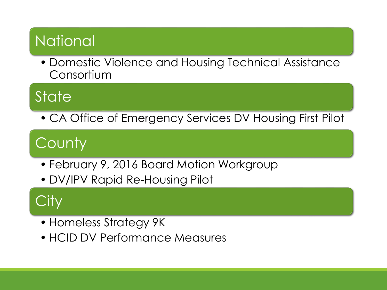### **National**

• Domestic Violence and Housing Technical Assistance Consortium

### **State**

• CA Office of Emergency Services DV Housing First Pilot

### **County**

- February 9, 2016 Board Motion Workgroup
- DV/IPV Rapid Re-Housing Pilot

### City

- Homeless Strategy 9K
- HCID DV Performance Measures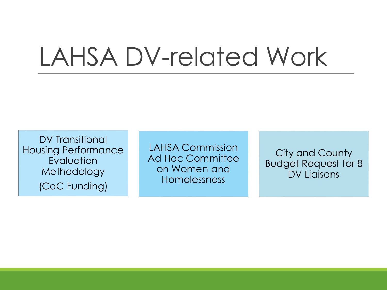# LAHSA DV-related Work

DV Transitional Housing Performance **Evaluation** Methodology (CoC Funding)

LAHSA Commission Ad Hoc Committee on Women and Homelessness

City and County Budget Request for 8 DV Liaisons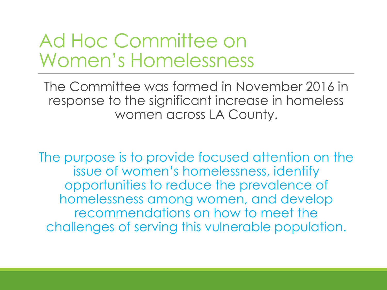### Ad Hoc Committee on Women's Homelessness

The Committee was formed in November 2016 in response to the significant increase in homeless women across LA County.

The purpose is to provide focused attention on the issue of women's homelessness, identify opportunities to reduce the prevalence of homelessness among women, and develop recommendations on how to meet the challenges of serving this vulnerable population.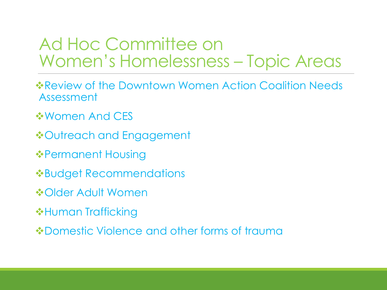### Ad Hoc Committee on Women's Homelessness – Topic Areas

- **\* Review of the Downtown Women Action Coalition Needs** Assessment
- **❖ Women And CES**
- **❖Outreach and Engagement**
- ❖Permanent Housing
- Budget Recommendations
- **❖Older Adult Women**
- **\*Human Trafficking**
- **\*Domestic Violence and other forms of trauma**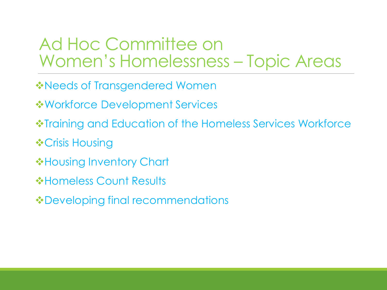#### Ad Hoc Committee on Women's Homelessness – Topic Areas

- **\*Needs of Transgendered Women**
- $\dots$ **Workforce Development Services**
- **\*Training and Education of the Homeless Services Workforce**
- **❖ Crisis Housing**
- **\*Housing Inventory Chart**
- **\*Homeless Count Results**
- Developing final recommendations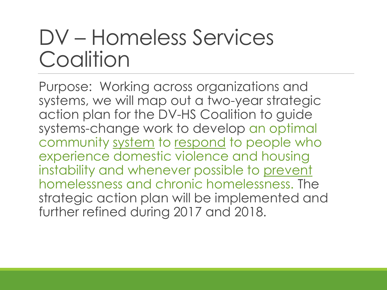# DV – Homeless Services **Coalition**

Purpose: Working across organizations and systems, we will map out a two-year strategic action plan for the DV-HS Coalition to guide systems-change work to develop an optimal community system to respond to people who experience domestic violence and housing instability and whenever possible to prevent homelessness and chronic homelessness. The strategic action plan will be implemented and further refined during 2017 and 2018.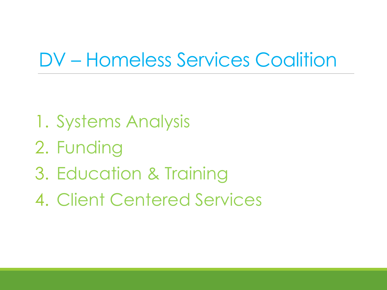### DV – Homeless Services Coalition

- 1. Systems Analysis
- 2. Funding
- 3. Education & Training
- 4. Client Centered Services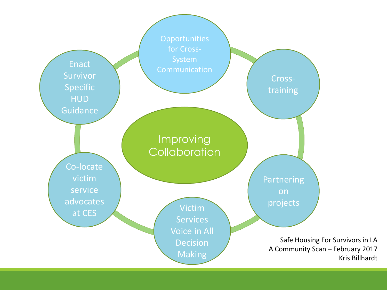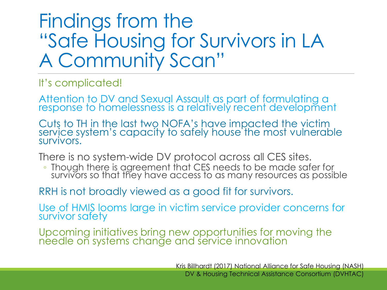### Findings from the "Safe Housing for Survivors in LA A Community Scan"

It's complicated!

Attention to DV and Sexual Assault as part of formulating a response to homelessness is a relatively recent development

Cuts to TH in the last two NOFA's have impacted the victim service system's capacity to safely house the most vulnerable survivors.

There is no system-wide DV protocol across all CES sites.

• Though there is agreement that CES needs to be made safer for survivors so that they have access to as many resources as possible

#### RRH is not broadly viewed as a good fit for survivors.

Use of HMIS looms large in victim service provider concerns for survivor safety

Upcoming initiatives bring new opportunities for moving the needle on systems change and service innovation